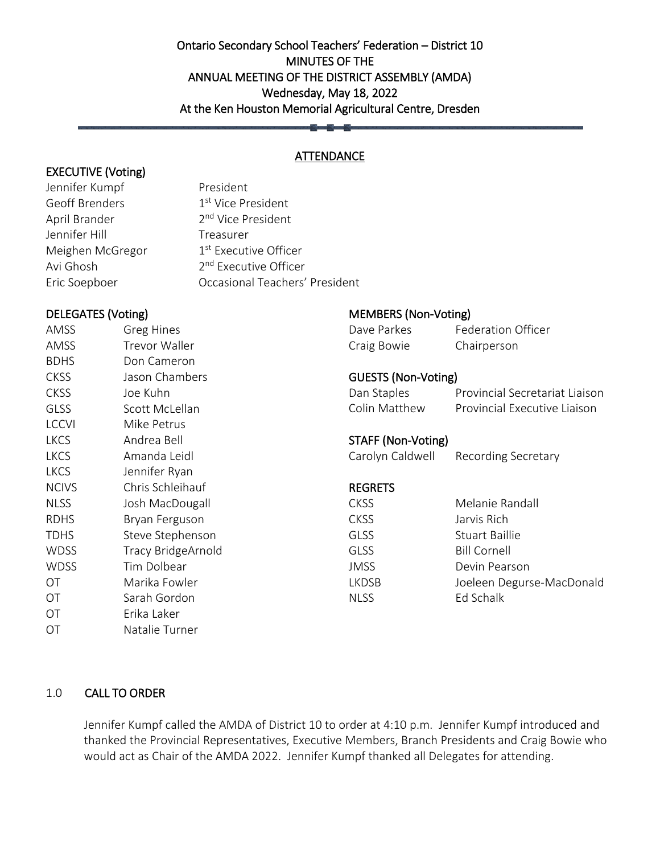# Ontario Secondary School Teachers' Federation – District 10 MINUTES OF THE ANNUAL MEETING OF THE DISTRICT ASSEMBLY (AMDA) Wednesday, May 18, 2022 At the Ken Houston Memorial Agricultural Centre, Dresden

## **ATTENDANCE**

# EXECUTIVE (Voting)

Jennifer Kumpf President Geoff Brenders 1st Vice President April Brander 2<sup>nd</sup> Vice President Jennifer Hill **Treasurer** Meighen McGregor 1st Executive Officer Avi Ghosh 2<sup>nd</sup> Executive Officer Eric Soepboer Occasional Teachers' President

# DELEGATES (Voting)

| AMSS         | <b>Greg Hines</b>         |
|--------------|---------------------------|
| AMSS         | <b>Trevor Waller</b>      |
| <b>BDHS</b>  | Don Cameron               |
| <b>CKSS</b>  | Jason Chambers            |
| <b>CKSS</b>  | Joe Kuhn                  |
| GLSS         | Scott McLellan            |
| <b>LCCVI</b> | Mike Petrus               |
| <b>LKCS</b>  | Andrea Bell               |
| <b>LKCS</b>  | Amanda Leidl              |
| <b>LKCS</b>  | Jennifer Ryan             |
| <b>NCIVS</b> | Chris Schleihauf          |
| <b>NLSS</b>  | Josh MacDougall           |
| RDHS         | Bryan Ferguson            |
| <b>TDHS</b>  | Steve Stephenson          |
| <b>WDSS</b>  | <b>Tracy BridgeArnold</b> |
| <b>WDSS</b>  | Tim Dolbear               |
| ΟT           | Marika Fowler             |
| ΟT           | Sarah Gordon              |
| ΟT           | Erika Laker               |
| OΤ           | Natalie Turner            |

# MEMBERS (Non-Voting)

| Dave Parkes | <b>Federation Officer</b> |
|-------------|---------------------------|
|             |                           |
| Craig Bowie | Chairperson               |

# GUESTS (Non-Voting)

| Dan Staples   | Provincial Secretariat Liaison |
|---------------|--------------------------------|
| Colin Matthew | Provincial Executive Liaison   |

## STAFF (Non-Voting)

Carolyn Caldwell Recording Secretary

## REGRETS

| <b>CKSS</b> | Melanie Randall           |
|-------------|---------------------------|
| CKSS        | Jarvis Rich               |
| GLSS.       | Stuart Baillie            |
| GLSS.       | <b>Bill Cornell</b>       |
| JMSS        | Devin Pearson             |
| LKDSB       | Joeleen Degurse-MacDonald |
| <b>NLSS</b> | Ed Schalk                 |

## 1.0 CALL TO ORDER

Jennifer Kumpf called the AMDA of District 10 to order at 4:10 p.m. Jennifer Kumpf introduced and thanked the Provincial Representatives, Executive Members, Branch Presidents and Craig Bowie who would act as Chair of the AMDA 2022. Jennifer Kumpf thanked all Delegates for attending.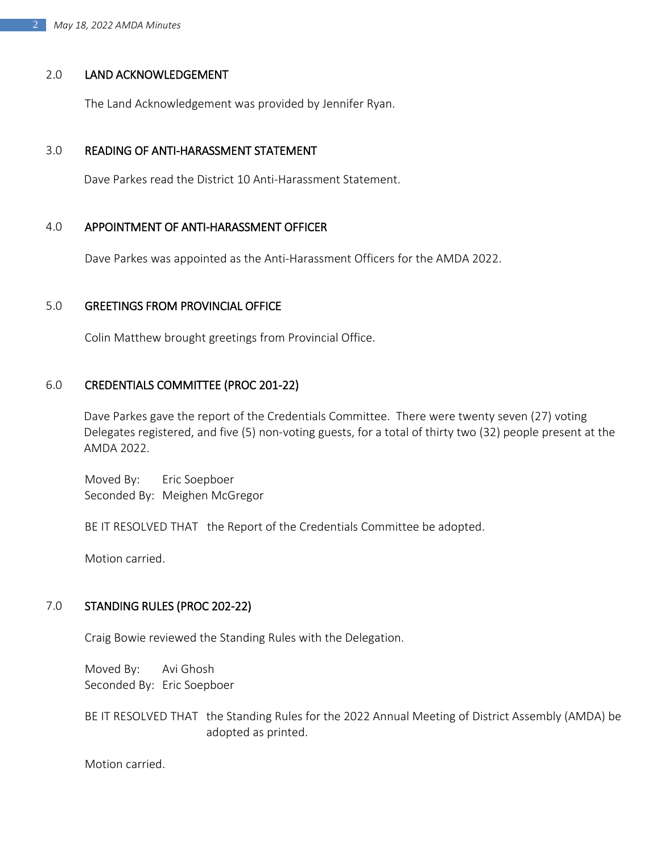#### 2.0 LAND ACKNOWLEDGEMENT

The Land Acknowledgement was provided by Jennifer Ryan.

#### 3.0 READING OF ANTI-HARASSMENT STATEMENT

Dave Parkes read the District 10 Anti-Harassment Statement.

#### 4.0 APPOINTMENT OF ANTI-HARASSMENT OFFICER

Dave Parkes was appointed as the Anti-Harassment Officers for the AMDA 2022.

#### 5.0 GREETINGS FROM PROVINCIAL OFFICE

Colin Matthew brought greetings from Provincial Office.

#### 6.0 CREDENTIALS COMMITTEE (PROC 201-22)

Dave Parkes gave the report of the Credentials Committee. There were twenty seven (27) voting Delegates registered, and five (5) non-voting guests, for a total of thirty two (32) people present at the AMDA 2022.

Moved By: Eric Soepboer Seconded By: Meighen McGregor

BE IT RESOLVED THAT the Report of the Credentials Committee be adopted.

Motion carried.

#### 7.0 STANDING RULES (PROC 202-22)

Craig Bowie reviewed the Standing Rules with the Delegation.

Moved By: Avi Ghosh Seconded By: Eric Soepboer

BE IT RESOLVED THAT the Standing Rules for the 2022 Annual Meeting of District Assembly (AMDA) be adopted as printed.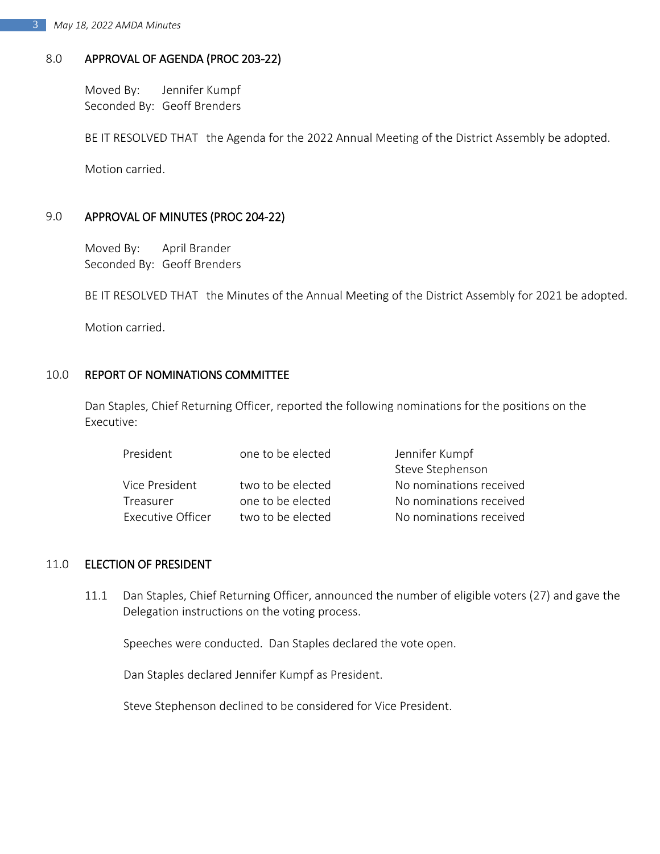# 8.0 APPROVAL OF AGENDA (PROC 203-22)

Moved By: Jennifer Kumpf Seconded By: Geoff Brenders

BE IT RESOLVED THAT the Agenda for the 2022 Annual Meeting of the District Assembly be adopted.

Motion carried.

# 9.0 APPROVAL OF MINUTES (PROC 204-22)

Moved By: April Brander Seconded By: Geoff Brenders

BE IT RESOLVED THAT the Minutes of the Annual Meeting of the District Assembly for 2021 be adopted.

Motion carried.

## 10.0 REPORT OF NOMINATIONS COMMITTEE

Dan Staples, Chief Returning Officer, reported the following nominations for the positions on the Executive:

| President         | one to be elected  | Jennifer Kumpf          |
|-------------------|--------------------|-------------------------|
|                   |                    | Steve Stephenson        |
| Vice President    | two to be elected  | No nominations received |
| Treasurer         | one to be elected. | No nominations received |
| Executive Officer | two to be elected  | No nominations received |

## 11.0 ELECTION OF PRESIDENT

11.1 Dan Staples, Chief Returning Officer, announced the number of eligible voters (27) and gave the Delegation instructions on the voting process.

Speeches were conducted. Dan Staples declared the vote open.

Dan Staples declared Jennifer Kumpf as President.

Steve Stephenson declined to be considered for Vice President.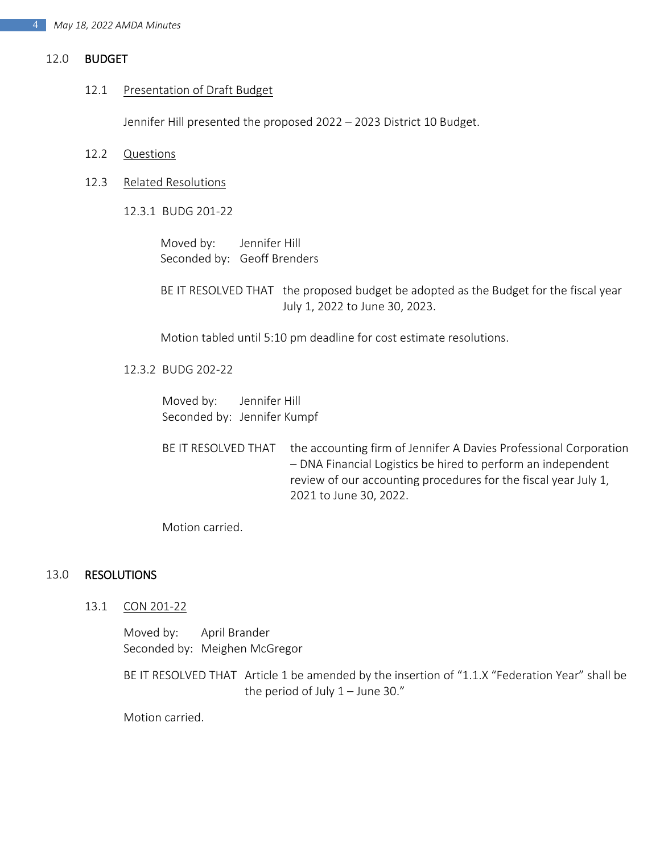#### 12.0 BUDGET

#### 12.1 Presentation of Draft Budget

Jennifer Hill presented the proposed 2022 – 2023 District 10 Budget.

- 12.2 Questions
- 12.3 Related Resolutions
	- 12.3.1 BUDG 201-22

Moved by: Jennifer Hill Seconded by: Geoff Brenders

BE IT RESOLVED THAT the proposed budget be adopted as the Budget for the fiscal year July 1, 2022 to June 30, 2023.

Motion tabled until 5:10 pm deadline for cost estimate resolutions.

#### 12.3.2 BUDG 202-22

Moved by: Jennifer Hill Seconded by: Jennifer Kumpf

BE IT RESOLVED THAT the accounting firm of Jennifer A Davies Professional Corporation – DNA Financial Logistics be hired to perform an independent review of our accounting procedures for the fiscal year July 1, 2021 to June 30, 2022.

Motion carried.

#### 13.0 RESOLUTIONS

13.1 CON 201-22

Moved by: April Brander Seconded by: Meighen McGregor

BE IT RESOLVED THAT Article 1 be amended by the insertion of "1.1.X "Federation Year" shall be the period of July  $1 -$  June 30."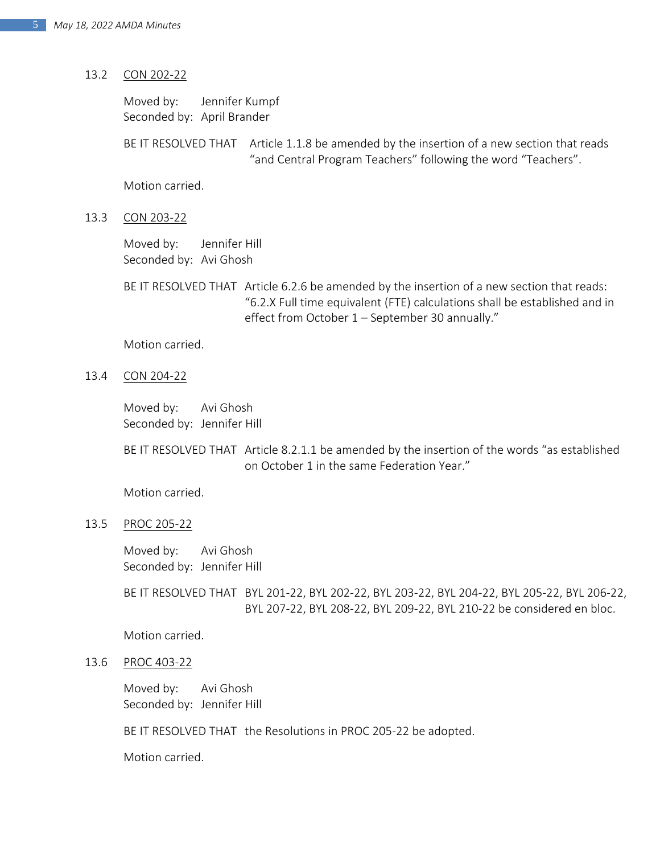#### 13.2 CON 202-22

Moved by: Jennifer Kumpf Seconded by: April Brander

BE IT RESOLVED THAT Article 1.1.8 be amended by the insertion of a new section that reads "and Central Program Teachers" following the word "Teachers".

Motion carried.

13.3 CON 203-22

Moved by: Jennifer Hill Seconded by: Avi Ghosh

BE IT RESOLVED THAT Article 6.2.6 be amended by the insertion of a new section that reads: "6.2.X Full time equivalent (FTE) calculations shall be established and in effect from October 1 – September 30 annually."

Motion carried.

13.4 CON 204-22

Moved by: Avi Ghosh Seconded by: Jennifer Hill

BE IT RESOLVED THAT Article 8.2.1.1 be amended by the insertion of the words "as established on October 1 in the same Federation Year."

Motion carried.

13.5 PROC 205-22

Moved by: Avi Ghosh Seconded by: Jennifer Hill

BE IT RESOLVED THAT BYL 201-22, BYL 202-22, BYL 203-22, BYL 204-22, BYL 205-22, BYL 206-22, BYL 207-22, BYL 208-22, BYL 209-22, BYL 210-22 be considered en bloc.

Motion carried.

13.6 PROC 403-22

Moved by: Avi Ghosh Seconded by: Jennifer Hill

BE IT RESOLVED THAT the Resolutions in PROC 205-22 be adopted.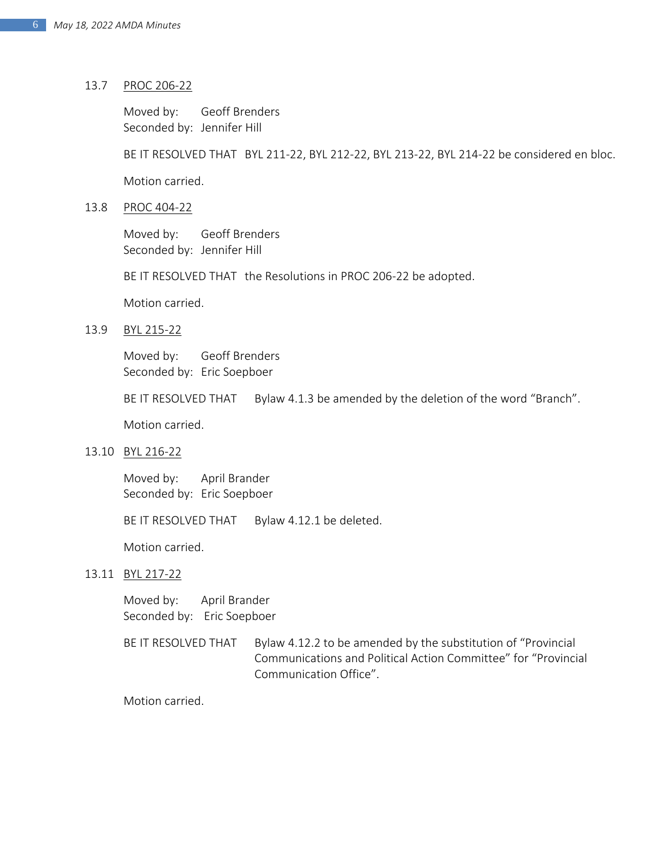#### 13.7 PROC 206-22

Moved by: Geoff Brenders Seconded by: Jennifer Hill

BE IT RESOLVED THAT BYL 211-22, BYL 212-22, BYL 213-22, BYL 214-22 be considered en bloc.

Motion carried.

13.8 PROC 404-22

Moved by: Geoff Brenders Seconded by: Jennifer Hill

BE IT RESOLVED THAT the Resolutions in PROC 206-22 be adopted.

Motion carried.

#### 13.9 BYL 215-22

Moved by: Geoff Brenders Seconded by: Eric Soepboer

BE IT RESOLVED THAT Bylaw 4.1.3 be amended by the deletion of the word "Branch".

Motion carried.

13.10 BYL 216-22

Moved by: April Brander Seconded by: Eric Soepboer

BE IT RESOLVED THAT Bylaw 4.12.1 be deleted.

Motion carried.

13.11 BYL 217-22

Moved by: April Brander Seconded by: Eric Soepboer

BE IT RESOLVED THAT Bylaw 4.12.2 to be amended by the substitution of "Provincial Communications and Political Action Committee" for "Provincial Communication Office".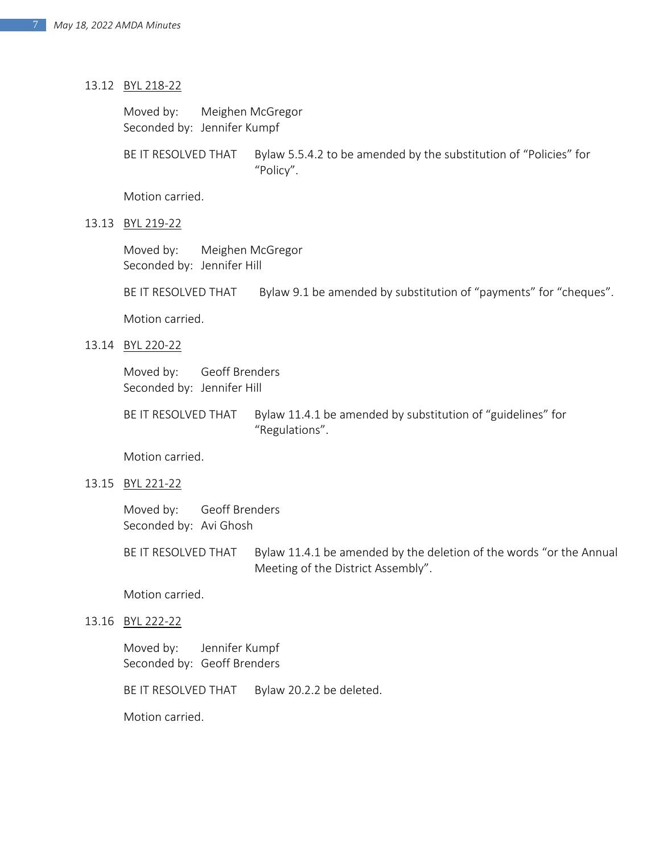#### 13.12 BYL 218-22

Moved by: Meighen McGregor Seconded by: Jennifer Kumpf

BE IT RESOLVED THAT Bylaw 5.5.4.2 to be amended by the substitution of "Policies" for "Policy".

Motion carried.

#### 13.13 BYL 219-22

Moved by: Meighen McGregor Seconded by: Jennifer Hill

BE IT RESOLVED THAT Bylaw 9.1 be amended by substitution of "payments" for "cheques".

Motion carried.

#### 13.14 BYL 220-22

Moved by: Geoff Brenders Seconded by: Jennifer Hill

BE IT RESOLVED THAT Bylaw 11.4.1 be amended by substitution of "guidelines" for "Regulations".

Motion carried.

13.15 BYL 221-22

Moved by: Geoff Brenders Seconded by: Avi Ghosh

BE IT RESOLVED THAT Bylaw 11.4.1 be amended by the deletion of the words "or the Annual Meeting of the District Assembly".

Motion carried.

13.16 BYL 222-22

Moved by: Jennifer Kumpf Seconded by: Geoff Brenders

BE IT RESOLVED THAT Bylaw 20.2.2 be deleted.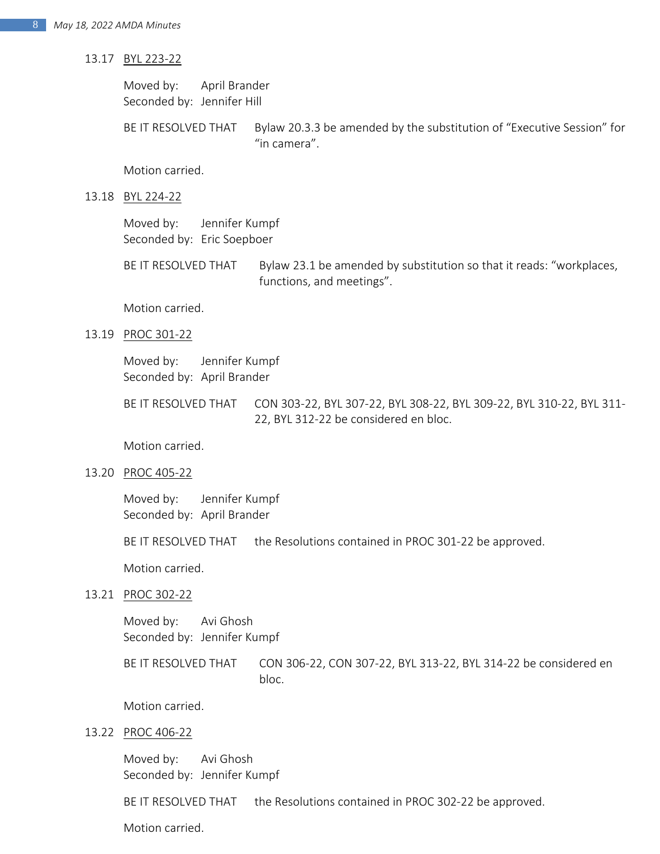#### 13.17 BYL 223-22

Moved by: April Brander Seconded by: Jennifer Hill

BE IT RESOLVED THAT Bylaw 20.3.3 be amended by the substitution of "Executive Session" for "in camera".

Motion carried.

13.18 BYL 224-22

Moved by: Jennifer Kumpf Seconded by: Eric Soepboer

BE IT RESOLVED THAT Bylaw 23.1 be amended by substitution so that it reads: "workplaces, functions, and meetings".

Motion carried.

13.19 PROC 301-22

Moved by: Jennifer Kumpf Seconded by: April Brander

BE IT RESOLVED THAT CON 303-22, BYL 307-22, BYL 308-22, BYL 309-22, BYL 310-22, BYL 311- 22, BYL 312-22 be considered en bloc.

Motion carried.

13.20 PROC 405-22

Moved by: Jennifer Kumpf Seconded by: April Brander

BE IT RESOLVED THAT the Resolutions contained in PROC 301-22 be approved.

Motion carried.

13.21 PROC 302-22

Moved by: Avi Ghosh Seconded by: Jennifer Kumpf

BE IT RESOLVED THAT CON 306-22, CON 307-22, BYL 313-22, BYL 314-22 be considered en bloc.

Motion carried.

13.22 PROC 406-22

Moved by: Avi Ghosh Seconded by: Jennifer Kumpf

BE IT RESOLVED THAT the Resolutions contained in PROC 302-22 be approved.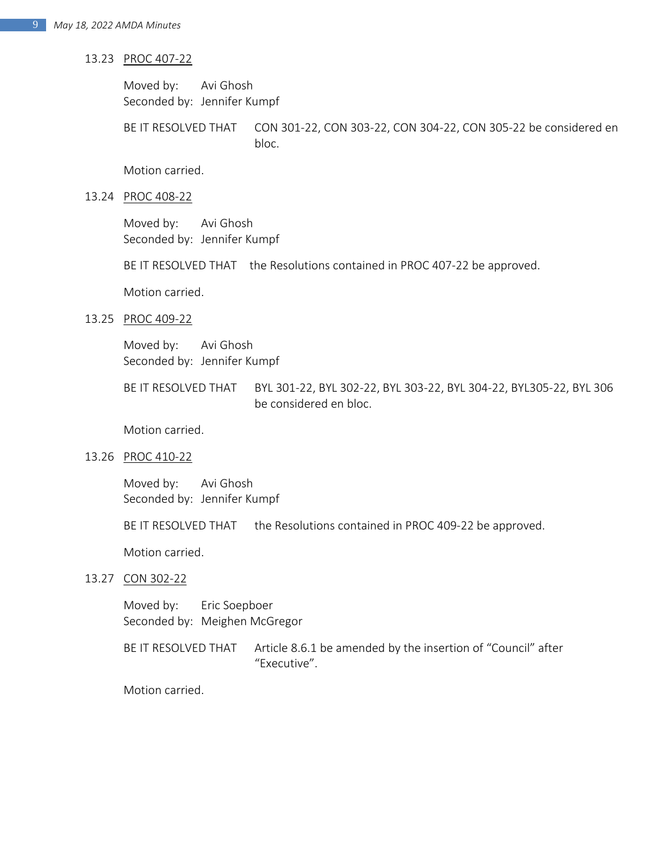- 13.23 PROC 407-22
	- Moved by: Avi Ghosh Seconded by: Jennifer Kumpf

BE IT RESOLVED THAT CON 301-22, CON 303-22, CON 304-22, CON 305-22 be considered en bloc.

Motion carried.

13.24 PROC 408-22

Moved by: Avi Ghosh Seconded by: Jennifer Kumpf

BE IT RESOLVED THAT the Resolutions contained in PROC 407-22 be approved.

Motion carried.

13.25 PROC 409-22

Moved by: Avi Ghosh Seconded by: Jennifer Kumpf

BE IT RESOLVED THAT BYL 301-22, BYL 302-22, BYL 303-22, BYL 304-22, BYL305-22, BYL 306 be considered en bloc.

Motion carried.

13.26 PROC 410-22

Moved by: Avi Ghosh Seconded by: Jennifer Kumpf

BE IT RESOLVED THAT the Resolutions contained in PROC 409-22 be approved.

Motion carried.

13.27 CON 302-22

Moved by: Eric Soepboer Seconded by: Meighen McGregor

BE IT RESOLVED THAT Article 8.6.1 be amended by the insertion of "Council" after "Executive".